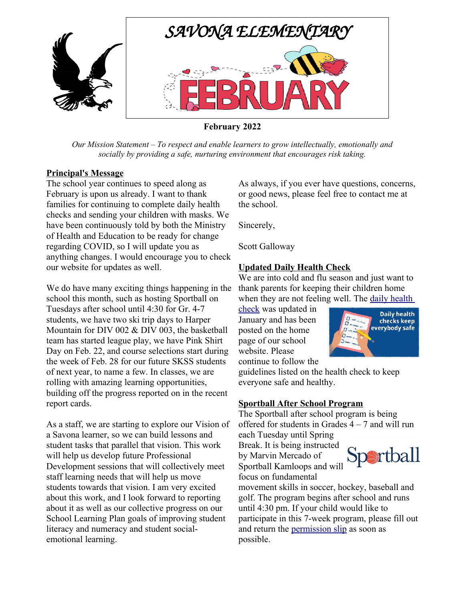

**February 2022**

*Our Mission Statement – To respect and enable learners to grow intellectually, emotionally and socially by providing a safe, nurturing environment that encourages risk taking.*

### **Principal's Message**

The school year continues to speed along as February is upon us already. I want to thank families for continuing to complete daily health checks and sending your children with masks. We have been continuously told by both the Ministry of Health and Education to be ready for change regarding COVID, so I will update you as anything changes. I would encourage you to check our website for updates as well.

We do have many exciting things happening in the school this month, such as hosting Sportball on Tuesdays after school until 4:30 for Gr. 4-7 students, we have two ski trip days to Harper Mountain for DIV 002 & DIV 003, the basketball team has started league play, we have Pink Shirt Day on Feb. 22, and course selections start during the week of Feb. 28 for our future SKSS students of next year, to name a few. In classes, we are rolling with amazing learning opportunities, building off the progress reported on in the recent report cards.

As a staff, we are starting to explore our Vision of a Savona learner, so we can build lessons and student tasks that parallel that vision. This work will help us develop future Professional Development sessions that will collectively meet staff learning needs that will help us move students towards that vision. I am very excited about this work, and I look forward to reporting about it as well as our collective progress on our School Learning Plan goals of improving student literacy and numeracy and student socialemotional learning.

As always, if you ever have questions, concerns, or good news, please feel free to contact me at the school.

Sincerely,

Scott Galloway

# **Updated Daily Health Check**

We are into cold and flu season and just want to thank parents for keeping their children home when they are not feeling well. The daily health

[check](https://savona.sd73.bc.ca/en/resourcesGeneral/Home-Page-Banner-Images/daily-health-check---jan-2022.pdf) was updated in January and has been posted on the home page of our school website. Please continue to follow the



guidelines listed on the health check to keep everyone safe and healthy.

# **Sportball After School Program**

The Sportball after school program is being offered for students in Grades  $4 - 7$  and will run each Tuesday until Spring

Break. It is being instructed

by Marvin Mercado of Sportball Kamloops and will focus on fundamental



movement skills in soccer, hockey, baseball and golf. The program begins after school and runs until 4:30 pm. If your child would like to participate in this 7-week program, please fill out and return the [permission slip](https://savona.sd73.bc.ca/en/resourcesGeneral/Permission-Slips/Sportball-Permission-Slip.pdf) as soon as possible.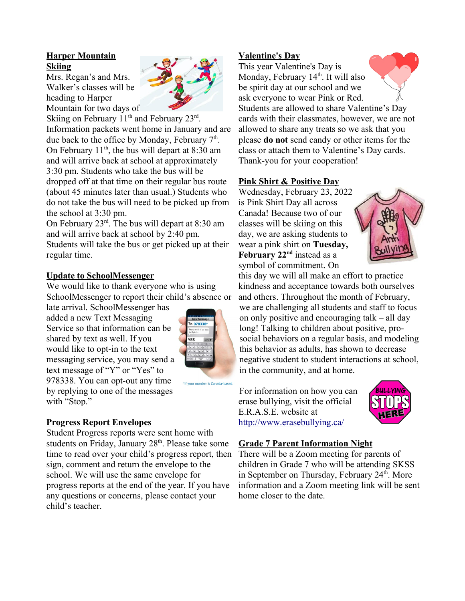# **Harper Mountain Skiing**

Mrs. Regan's and Mrs. Walker's classes will be heading to Harper Mountain for two days of



Skiing on February  $11<sup>th</sup>$  and February  $23<sup>rd</sup>$ . Information packets went home in January and are due back to the office by Monday, February 7<sup>th</sup>. On February  $11<sup>th</sup>$ , the bus will depart at 8:30 am and will arrive back at school at approximately 3:30 pm. Students who take the bus will be dropped off at that time on their regular bus route (about 45 minutes later than usual.) Students who do not take the bus will need to be picked up from the school at 3:30 pm.

On February 23rd. The bus will depart at 8:30 am and will arrive back at school by 2:40 pm.

Students will take the bus or get picked up at their regular time.

# **Update to SchoolMessenger**

We would like to thank everyone who is using SchoolMessenger to report their child's absence or

late arrival. SchoolMessenger has added a new Text Messaging Service so that information can be shared by text as well. If you would like to opt-in to the text messaging service, you may send a text message of "Y" or "Yes" to 978338. You can opt-out any time by replying to one of the messages with "Stop."



\*if your number is Canada-based

# **Progress Report Envelopes**

Student Progress reports were sent home with students on Friday, January 28<sup>th</sup>. Please take some time to read over your child's progress report, then sign, comment and return the envelope to the school. We will use the same envelope for progress reports at the end of the year. If you have any questions or concerns, please contact your child's teacher.

### **V alentine's Day**

This year Valentine's Day is Monday, February  $14<sup>th</sup>$ . It will also be spirit day at our school and we ask everyone to wear Pink or Red. Students are allowed to share Valentine's Day cards with their classmates, however, we are not allowed to share any treats so we ask that you please **do not** send candy or other items for the class or attach them to Valentine's Day cards. Thank-you for your cooperation!

# **Pink Shirt & Positive Day**

Wednesday, February 23, 2022 is Pink Shirt Day all across Canada! Because two of our classes will be skiing on this day, we are asking students to wear a pink shirt on **Tuesday, February 22nd** instead as a symbol of commitment. On



this day we will all make an effort to practice kindness and acceptance towards both ourselves and others. Throughout the month of February, we are challenging all students and staff to focus on only positive and encouraging talk – all day long! Talking to children about positive, prosocial behaviors on a regular basis, and modeling this behavior as adults, has shown to decrease negative student to student interactions at school, in the community, and at home.

For information on how you can erase bullying, visit the official E.R.A.S.E. website at <http://www.erasebullying.ca/>



# **Grade 7 Parent Information Night**

There will be a Zoom meeting for parents of children in Grade 7 who will be attending SKSS in September on Thursday, February  $24<sup>th</sup>$ . More information and a Zoom meeting link will be sent home closer to the date.